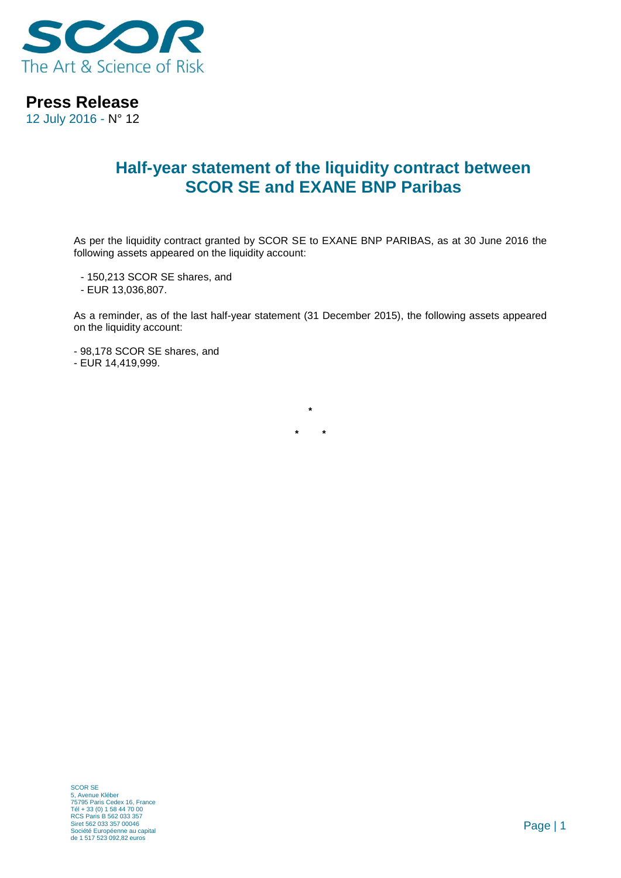

**Press Release**

12 July 2016 - N° 12

## **Half-year statement of the liquidity contract between SCOR SE and EXANE BNP Paribas**

As per the liquidity contract granted by SCOR SE to EXANE BNP PARIBAS, as at 30 June 2016 the following assets appeared on the liquidity account:

- 150,213 SCOR SE shares, and

- EUR 13,036,807.

As a reminder, as of the last half-year statement (31 December 2015), the following assets appeared on the liquidity account:

**\***

**\* \***

- 98,178 SCOR SE shares, and

- EUR 14,419,999.